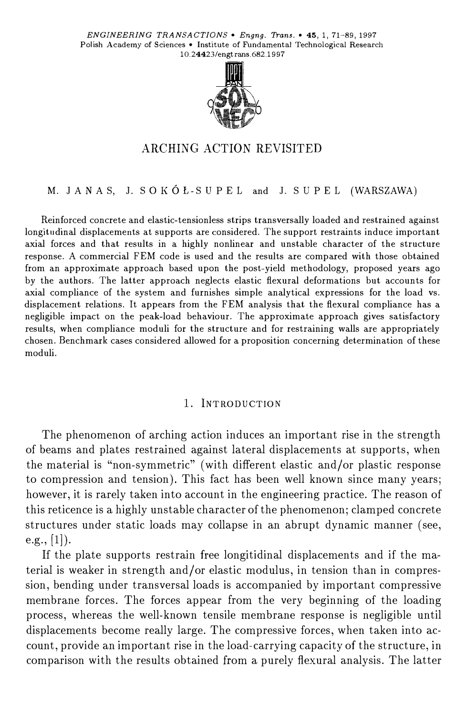

## ARCHING ACTION REVISITED

#### M. JA N AS, J. SOKÓŁ-SU PEL and J. SU PEL (WARSZAWA)

Reinforced concrete and elastic-tensionless strips transversally loaded and restrained against longitudinal displacements at supports are considered. The support restraints induce important axial forces and that results in a highly nonlinear and unstable character of the structure response. A commercial FEM code is used and the results are compared with those obtained from an approximate approach based upon the post-yield methodology, proposed years ago by the authors. The latter approach neglects elastic flexural deformations but accounts for axial compliance of the system and furnishes simple analytical expressions for the load vs. displacement relations. It appears from the FEM analysis that the flexural compliance has a negligible impact on the peak-load behaviour. The approximate approach gives satisfactory results, when compliance moduli for the structure and for restraining walls are appropriately chosen. Benchmark cases considered allowed for a proposition concerning determination of these moduli.

#### 1. lNTRODUCTION

The phenomenon of arching action induces an important rise in the strength of beams and plates restrained against lateral displacements at supports, when the materiał is "non-symmetric" (with different elastic and/or plastic response to compression and tension). This fact has been well known since many years; however, it is rarely taken into account in the engineering practice. The reason of this reticence is a highly unstable character of the phenomenon; clamped concrete structures under static loads may collapse in an abrupt dynamie manner (see, e.g.,  $[1]$ ).

If the plate supports restrain free longitidinal displacements and if the material is weaker in strength and/or elastic modulus, in tension than in compression, bending under transversal loads is accompanied by important compressive membrane forces. The forces appear from the very beginning of the loading process, whereas the well-known tensile membrane response is negligible until displacements become really large. The compressive forces, when taken into account, provide an important rise in the load-carrying capacity of the structure, in comparison with the results obtained from a purely flexural analysis. The latter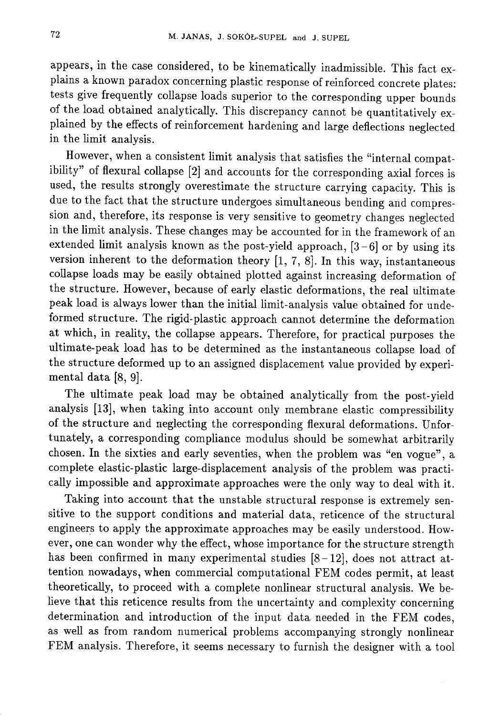appears, in the case considered, to be kinematically inadmissible. This fact explains a known paradox concerning plastic response of reinforced concrete plates: tests give frequently collapse loads superior to the corresponding upper bounds of the load obtained analytically. This discrepancy cannot be quantitatively explained by the effects of reinforcement hardening and large deflections neglected in the limit analysis.

However, when a consistent limit analysis that satisfies the "internal compatibility" of flexural collapse [2] and accounts for the corresponding axial forces is used, the results strongly overestimate the structure carrying capacity. This is due to the fact that the structure undergoes simultaneous bending and compression and, therefore, its response is very sensitive to geometry changes neglected in the limit analysis. These changes may be accounted for in the framework of an extended limit analysis known as the post-yield approach,  $[3-6]$  or by using its version inherent to the deformation theory  $[1, 7, 8]$ . In this way, instantaneous collapse loads may be easily obtained plotted against increasing deformation of the structure. However, because of early elastic deformations, the real ultimate peak load is always lower than the initial limit-analysis value obtained for undeformed structure. The rigid-plastic approach cannot determine the deformation at which, in reality, the collapse appears. Therefore, for practical purposes the ultimate-peak load has to be determined as the instantaneous collapse load of the structure deformed up to an assigned displacement value provided by experimental data [8, 9].

The ultimate peak load may be obtained analytically from the post-yield analysis [13], when taking into account only membrane elastic compressibility of the structure and neglecting the corresponding flexural deformations. Unfortunately, a corresponding compliance modulus should be somewhat arbitrarily chosen. In the sixties and early seventies, when the problem was "en vogue", a complete elastic-plastic large-displacement analysis of the problem was practically impossible and approximate approaches were the only way to deal with it.

Taking into account that the unstable structural response is extremely sensitive to the support conditions and material data, reticence of the structural engineers to apply the approximate approaches may be easily understood. However, one can wonder why the effect, whose importance for the structure strength has been confirmed in many experimental studies  $[8-12]$ , does not attract attention nowadays, when commercial computational FEM codes permit, at least theoretically, to proceed with a complete nonlinear structural analysis. We believe that this reticence results from the uncertainty and complexity concerning determination and introduction of the input data needed in the FEM codes, as well as from random numerical problems accompanying strongly nonlinear FEM analysis. Therefore, it seems necessary to furnish the designer with a tool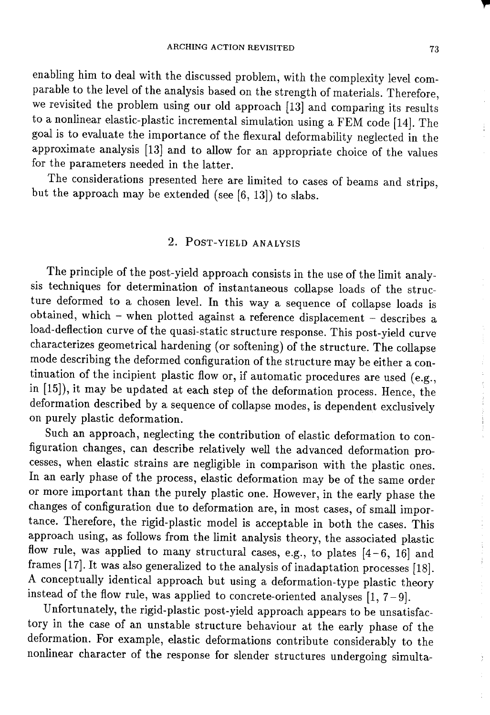enabling him to deal with the discussed problem, with the complexity level comparable to the level of the analysis based on the strength of materials. Therefore, we revisited the problem using our old approach  $[13]$  and comparing its results to a nonlinear elastic-plastic incremental simulation using a FEM code [14]. The goal is to evaluate the importance of the flexural deformability neglected in the approximate analysis [13] and to allow for an appropriate choice of the values for the parameters needed in the latter.

The considerations presented here are limited to cases of beams and strips, but the approach may be extended (see  $[6, 13]$ ) to slabs.

## 2. POST-YIELD ANALYSIS

The principle of the post-yield approach consists in the use of the limit analysis techniques for determination of instantaneous collapse loads of the structure deformed to a chosen level. In this way a sequence of collapse loads is obtained, which - when plotted against a reference displacement - describes a load-deflection curve of the quasi-static structure response. This post-yield curve characterizes geometrical hardening (or softening) of the structure. The collapse mode describing the deformed configuration of the structure may be either a continuation of the incipient plastic flow or, if automatic procedures are used (e.g., in [15]), it may be updated at each step of the deformation process. Hence, the deformation described by a sequence of collapse modes, is dependent exclusively on purely plastic deformation.

Such an approach, neglecting the contribution of elastic deformation to configuration changes, can describe relatively well the advanced deformation processes, when elastic strains are negligible in comparison with the plastic ones. In an early phase of the process, elastic deformation may be of the same order or more important than the purely plastic one. However, in the early phase the changes of configuration due to deformation are, in most cases, of small importance. Therefore, the rigid-plastic model is acceptable in both the cases. This approach using, as follows from the limit analysis theory, the associated plastic flow rule, was applied to many structural cases, e.g., to plates  $[4-6, 16]$  and frames [17]. It was also generalized to the analysis of inadaptation processes [18]. A conceptually identical approach but using a deformation-type plastic theory instead of the flow rule, was applied to concrete-oriented analyses  $[1, 7-9]$ .

Unfortunately, the rigid-plastic post-yield approach appears to be unsatisfactory in the case of an unstable structure behaviour at the early phase of the deformation. For example, elastic deformations contribute considerably to the nonlinear character of the response for slender structures undergoing simulta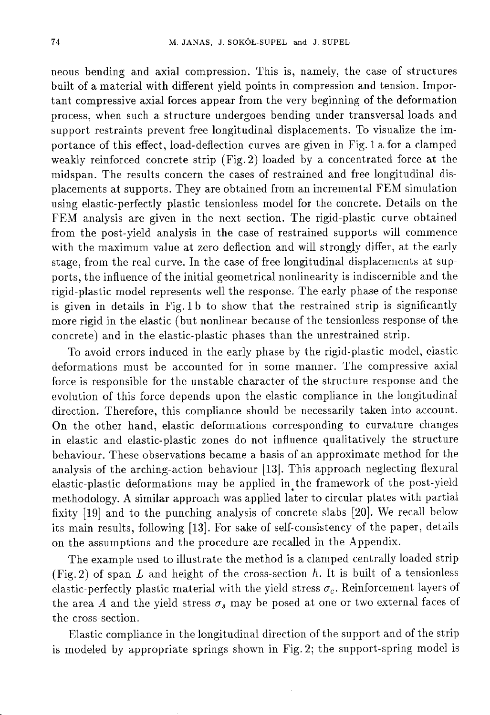neous bending and axial compression. This is, namely, the case of structures built of a material with different yield points in compression and tension. Important compressive axial forces appear from the very beginning of the deformation process, when such a structure undergoes bending under transversal loads and support restraints prevent free longitudinal displacements. To visualize the importance of this effect, load-deflection curves are given in Fig. 1 a for a clamped weakly reinforced concrete strip (Fig. 2) loaded by a concentrated force at the midspan. The results concern the cases of restrained and free longitudinal displacements at supports. They are obtained from an incremental FEM simulation using elastic-perfectly plastic tensionless model for the concrete. Details on the FEM analysis are given in the next section. The rigid-plastic curve obtained from the post-yield analysis in the case of restrained supports will commence with the maximum value at zero deflection and will strongly differ, at the early stage, from the real curve. In the case of free longitudinal displacements at supports, the influence of the initial geometrical nonlinearity is indiscernible and the rigid-plastic model represents well the response. The early phase of the response is given in details in Fig. 1b to show that the restrained strip is significantly more rigid in the elastic (but nonlinear because of the tensionless response of the concrete) and in the elastic-plastic phases than the unrestrained strip.

To avoid errors induced in the early phase by the rigid-plastic model, elastic deformations must be accounted for in some manner. The compressive axial force is responsible for the unstable character of the structure response and the evolution of this force depends upon the elastic compliance in the longitudinal direction. Therefore, this compliance should be necessarily taken into account. On the other hand, elastic deformations corresponding to curvature changes in elastic and elastic-plastic zones do not influence qualitatively the structure behaviour. These observations became a basis of an approximate method for the analysis of the arching-action behaviour [13]. This approach neglecting flexural elastic-plastic deformations may be applied in the framework of the post-yield methodology. A similar approach was applied later to circular plates with partial fixity [19] and to the punching analysis of concrete slabs [20]. We recall below its main results, following [13]. For sake of self-consistency of the paper, details on the assumptions and the procedure are recalled in the Appendix.

The example used to illustrate the method is a clamped centrally loaded strip (Fig. 2) of span  $L$  and height of the cross-section  $h$ . It is built of a tensionless elastic-perfectly plastic material with the yield stress  $\sigma_c$ . Reinforcement layers of the area A and the yield stress  $\sigma_s$  may be posed at one or two external faces of the cross-section.

Elastic compliance in the longitudinal direction of the support and of the strip is modeled by appropriate springs shown in Fig. 2; the support-spring model is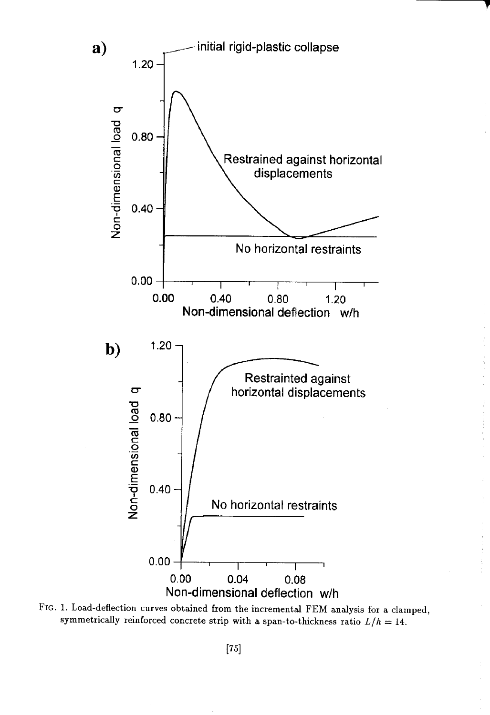

FIG. 1. Load-deflection curves obtained from the incremental FEM analysis for a clamped, symmetrically reinforced concrete strip with a span-to-thickness ratio  $L/h = 14$ .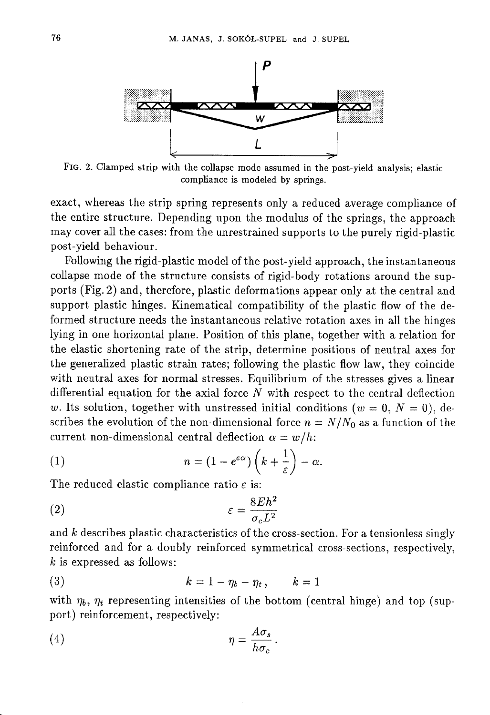

FIG. 2. Clamped strip with the collapse mode assumed in the post-vield analysis; elastic compliance is modeled by springs.

exact, whereas the strip spring represents only a reduced average compliance of the entire structure. Depending upon the modulus of the springs, the approach may cover all the cases: from the unrestrained supports to the purely rigid-plastic post-yield behaviour.

Following the rigid-plastic model of the post-yield approach, the instantaneous collapse mode of the structure consists of rigid-body rotations around the supports (Fig. 2) and, therefore, plastic deformations appear only at the central and support plastic hinges. Kinematical compatibility of the plastic flow of the deformed structure needs the instantaneous relative rotation axes in all the hinges lving in one horizontal plane. Position of this plane, together with a relation for the elastic shortening rate of the strip, determine positions of neutral axes for the generalized plastic strain rates; following the plastic flow law, they coincide with neutral axes for normal stresses. Equilibrium of the stresses gives a linear differential equation for the axial force  $N$  with respect to the central deflection w. Its solution, together with unstressed initial conditions ( $w = 0, N = 0$ ), describes the evolution of the non-dimensional force  $n = N/N_0$  as a function of the current non-dimensional central deflection  $\alpha = w/h$ :

(1) 
$$
n = (1 - e^{\varepsilon \alpha}) \left( k + \frac{1}{\varepsilon} \right) - \alpha.
$$

The reduced elastic compliance ratio  $\varepsilon$  is:

$$
\varepsilon = \frac{8Eh^2}{\sigma_c L^2}
$$

and  $k$  describes plastic characteristics of the cross-section. For a tensionless singly reinforced and for a doubly reinforced symmetrical cross-sections, respectively,  $k$  is expressed as follows:

$$
(3) \t\t k=1-\eta_b-\eta_t, \t k=1
$$

with  $\eta_b$ ,  $\eta_t$  representing intensities of the bottom (central hinge) and top (support) reinforcement, respectively:

$$
\eta = \frac{A\sigma_s}{h\sigma_c}
$$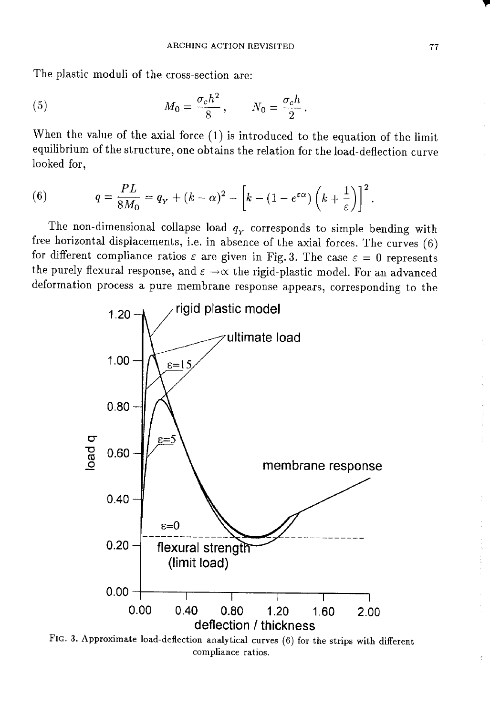The plastic moduli of the cross-section are:

(5) 
$$
M_0 = \frac{\sigma_c h^2}{8}, \qquad N_0 = \frac{\sigma_c h}{2}.
$$

When the value of the axial force  $(1)$  is introduced to the equation of the limit equilibrium of the structure, one obtains the relation for the load-deflection curve looked for,

(6) 
$$
q = \frac{PL}{8M_0} = q_Y + (k - \alpha)^2 - \left[k - (1 - e^{\epsilon \alpha})\left(k + \frac{1}{\epsilon}\right)\right]^2
$$

The non-dimensional collapse load  $q_v$  corresponds to simple bending with free horizontal displacements, i.e. in absence of the axial forces. The curves (6) for different compliance ratios  $\varepsilon$  are given in Fig. 3. The case  $\varepsilon = 0$  represents the purely flexural response, and  $\varepsilon \to \infty$  the rigid-plastic model. For an advanced deformation process a pure membrane response appears, corresponding to the



FIG. 3. Approximate load-deflection analytical curves (6) for the strips with different compliance ratios.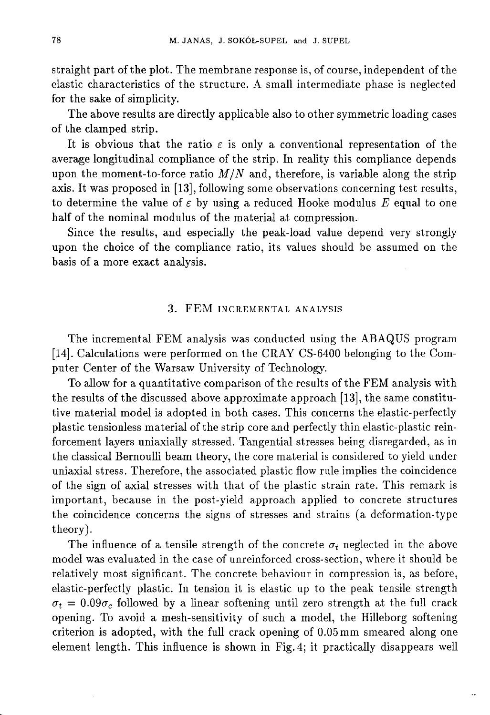straight part of the plot. The membrane response is, of course, independent of the elastic characteristics of the structure. A small intermediate phase is neglected for the sake of simplicity.

The above results are directly applicable also to other symmetric loading cases of the clamped strip.

It is obvious that the ratio  $\varepsilon$  is only a conventional representation of the average longitudinal compliance of the strip. In reality this compliance depends upon the moment-to-force ratio  $M/N$  and, therefore, is variable along the strip axis. It was proposed in [13], following some observations concerning test results, to determine the value of  $\varepsilon$  by using a reduced Hooke modulus E equal to one half of the nominal modulus of the material at compression.

Since the results, and especially the peak-load value depend very strongly upon the choice of the compliance ratio, its values should be assumed on the basis of a more exact analysis.

#### 3. FEM INCREMENTAL ANALYSIS

The incremental FEM analysis was conducted using the ABAQUS program [14]. Calculations were performed on the CRAY CS-6400 belonging to the Computer Center of the Warsaw University of Technology.

To allow for a quantitative comparison of the results of the FEM analysis with the results of the discussed above approximate approach [13], the same constitutive material model is adopted in both cases. This concerns the elastic-perfectly plastic tensionless material of the strip core and perfectly thin elastic-plastic reinforcement layers uniaxially stressed. Tangential stresses being disregarded, as in the classical Bernoulli beam theory, the core material is considered to yield under uniaxial stress. Therefore, the associated plastic flow rule implies the coincidence of the sign of axial stresses with that of the plastic strain rate. This remark is important, because in the post-yield approach applied to concrete structures the coincidence concerns the signs of stresses and strains (a deformation-type theory).

The influence of a tensile strength of the concrete  $\sigma_t$  neglected in the above model was evaluated in the case of unreinforced cross-section, where it should be relatively most significant. The concrete behaviour in compression is, as before, elastic-perfectly plastic. In tension it is elastic up to the peak tensile strength  $\sigma_t = 0.09\sigma_c$  followed by a linear softening until zero strength at the full crack opening. To avoid a mesh-sensitivity of such a model, the Hilleborg softening criterion is adopted, with the full crack opening of 0.05mm smeared along one element length. This influence is shown in Fig. 4; it practically disappears well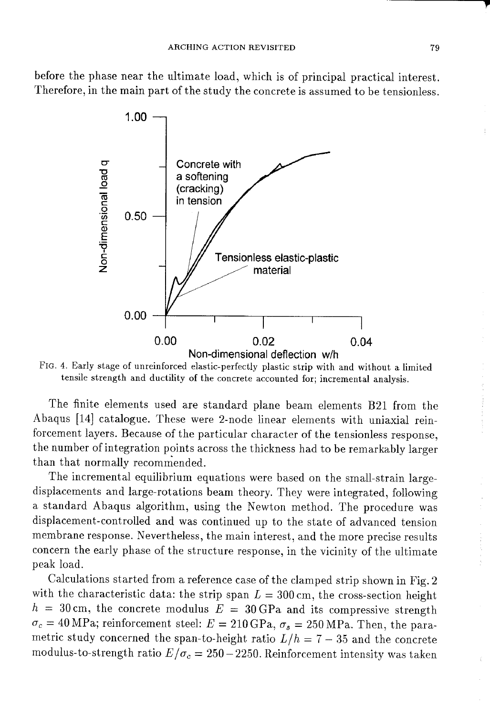before the phase near the ultimate load, which is of principal practical interest. Therefore, in the main part of the study the concrete is assumed to be tensionless.



FIG. 4. Early stage of unreinforced elastic-perfectly plastic strip with and without a limited tensile strength and ductility of the concrete accounted for; incremental analysis.

The finite elements used are standard plane beam elements B21 from the Abaqus [14] catalogue. These were 2-node linear elements with uniaxial reinforcement layers. Because of the particular character of the tensionless response, the number of integration points across the thickness had to be remarkably larger than that normally recommended.

The incremental equilibrium equations were based on the small-strain largedisplacements and large-rotations beam theory. They were integrated, following a standard Abaqus algorithm, using the Newton method. The procedure was displacement-controlled and was continued up to the state of advanced tension membrane response. Nevertheless, the main interest, and the more precise results concern the early phase of the structure response, in the vicinity of the ultimate peak load.

Calculations started from a reference case of the clamped strip shown in Fig. 2 with the characteristic data: the strip span  $L = 300$  cm, the cross-section height  $h = 30$  cm, the concrete modulus  $E = 30$  GPa and its compressive strength  $\sigma_c = 40 \text{ MPa}$ ; reinforcement steel:  $E = 210 \text{ GPa}$ ,  $\sigma_s = 250 \text{ MPa}$ . Then, the parametric study concerned the span-to-height ratio  $L/h = 7 - 35$  and the concrete modulus-to-strength ratio  $E/\sigma_c = 250-2250$ . Reinforcement intensity was taken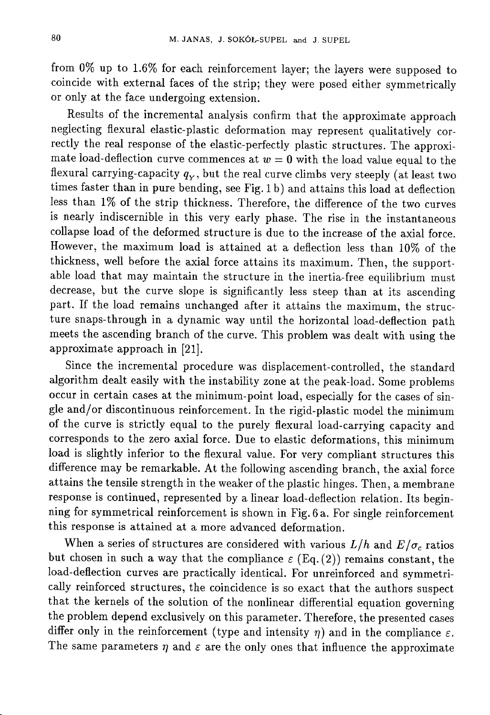from  $0\%$  up to 1.6% for each reinforcement layer; the layers were supposed to coincide with external faces of the strip; they were posed either symmetrically or only at the face undergoing extension.

Results of the incremental analysis confirm that the approximate approach neglecting flexural elastic-plastic deformation may represent qualitatively correctly the real response of the elastic-perfectly plastic structures. The approximate load-deflection curve commences at  $w = 0$  with the load value equal to the flexural carrying-capacity  $q_Y$ , but the real curve climbs very steeply (at least two times faster than in pure bending, see Fig. 1 b) and attains this load at deflection less than 1% of the strip thickness. Therefore, the difference of the two curves is nearly indiscernible in this very early phase. The rise in the instantaneous collapse load of the deformed structure is due to the increase of the axial force. However, the maximum load is attained at a deflection less than 10% of the thickness, well before the axial force attains its maximum. Then, the supportable load that may maintain the structure in the inertia-free equilibrium must decrease, but the curve slope is significantly less steep than at its ascending part. If the load remains unchanged after it attains the maximum, the structure snaps-through in a dynamic way until the horizontal load-deflection path meets the ascending branch of the curve. This problem was dealt with using the approximate approach in [21].

Since the incremental procedure was displacement-controlled, the standard algorithm dealt easily with the instability zone at the peak-load. Some problems occur in certain cases at the minimum-point load, especially for the cases of single and/or discontinuous reinforcement. In the rigid-plastic model the minimum of the curve is strictly equal to the purely flexural load-carrying capacity and corresponds to the zero axial force. Due to elastic deformations, this minimum load is slightly inferior to the flexural value. For very compliant structures this difference may be remarkable. At the following ascending branch, the axial force attains the tensile strength in the weaker of the plastic hinges. Then, a membrane response is continued, represented by a linear load-deflection relation. Its beginning for symmetrical reinforcement is shown in Fig. 6 a. For single reinforcement this response is attained at a more advanced deformation.

When a series of structures are considered with various  $L/h$  and  $E/\sigma_c$  ratios but chosen in such a way that the compliance  $\varepsilon$  (Eq. (2)) remains constant, the load-deflection curves are practically identical. For unreinforced and symmetrically reinforced structures, the coincidence is so exact that the authors suspect that the kernels of the solution of the nonlinear differential equation governing the problem depend exclusively on this parameter. Therefore, the presented cases differ only in the reinforcement (type and intensity  $\eta$ ) and in the compliance  $\varepsilon$ . The same parameters  $\eta$  and  $\varepsilon$  are the only ones that influence the approximate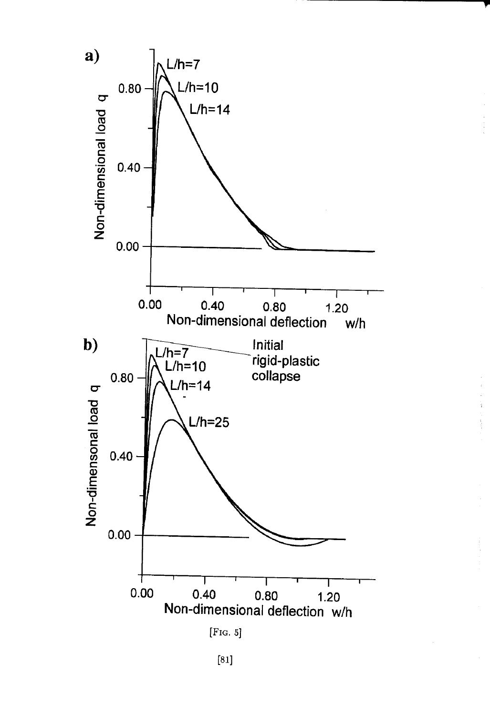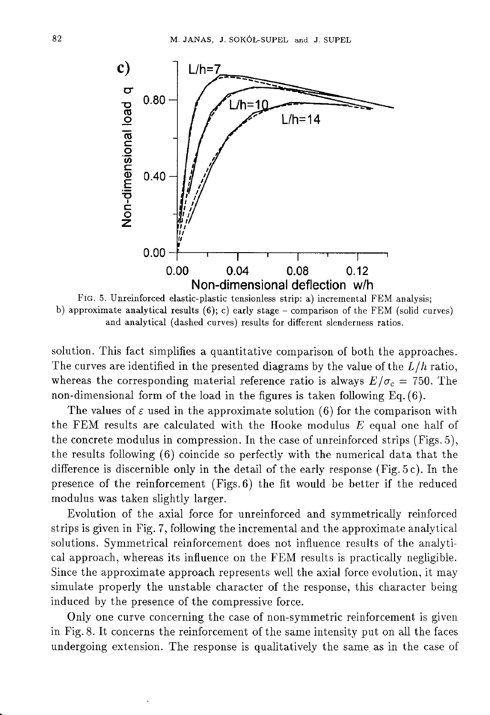

FIG. 5. Unreinforced elastic-plastic tensionless strip: a) incremental FEM analysis; b) approximate analytical results  $(6)$ ; c) early stage – comparison of the FEM (solid curves) and analytical (dashed curves) results for different slenderness ratios.

solution. This fact simplifies a quantitative comparison of both the approaches. The curves are identified in the presented diagrams by the value of the  $L/h$  ratio, whereas the corresponding material reference ratio is always  $E/\sigma_c = 750$ . The non-dimensional form of the load in the figures is taken following  $Eq. (6)$ .

The values of  $\varepsilon$  used in the approximate solution (6) for the comparison with the FEM results are calculated with the Hooke modulus E equal one half of the concrete modulus in compression. In the case of unreinforced strips (Figs. 5), the results following (6) coincide so perfectly with the numerical data that the difference is discernible only in the detail of the early response (Fig. 5c). In the presence of the reinforcement (Figs. 6) the fit would be better if the reduced modulus was taken slightly larger.

Evolution of the axial force for unreinforced and symmetrically reinforced strips is given in Fig. 7, following the incremental and the approximate analytical solutions. Symmetrical reinforcement does not influence results of the analytical approach, whereas its influence on the FEM results is practically negligible. Since the approximate approach represents well the axial force evolution, it may simulate properly the unstable character of the response, this character being induced by the presence of the compressive force.

Only one curve concerning the case of non-symmetric reinforcement is given in Fig. 8. It concerns the reinforcement of the same intensity put on all the faces undergoing extension. The response is qualitatively the same as in the case of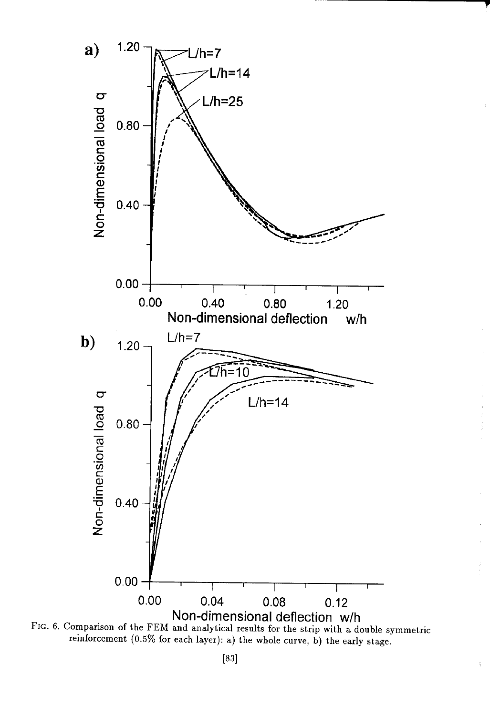

FIG. 6. Comparison of the FEM and analytical results for the strip with a double symmetric reinforcement (0.5% for each layer): a) the whole curve, b) the early stage.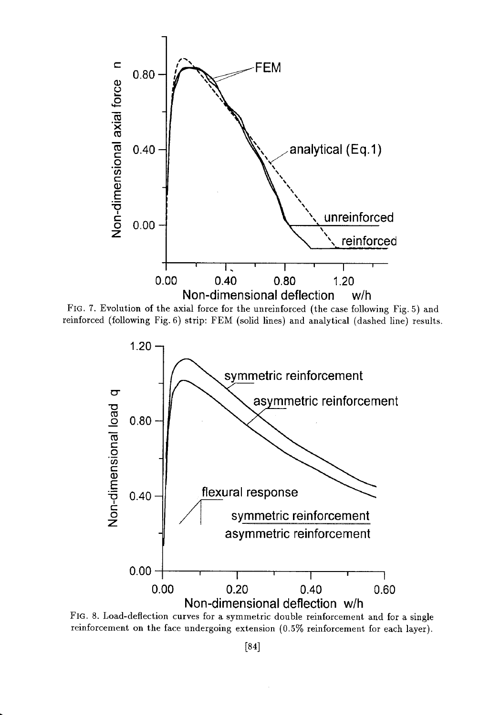

FIG. 7. Evolution of the axial force for the unreinforced (the case following Fig. 5) and reinforced (following Fig. 6) strip: FEM (solid lines) and analytical (dashed line) results.



FIG. 8. Load-deflection curves for a symmetric double reinforcement and for a single reinforcement on the face undergoing extension (0.5% reinforcement for each layer).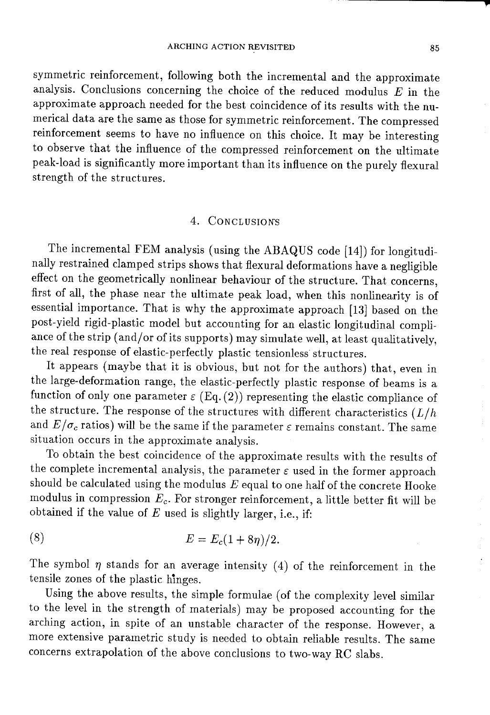symmetric reinforcement, following both the incremental and the approximate analysis. Conclusions concerning the choice of the reduced modulus  $E$  in the approximate approach needed for the best coincidence of its results with the numerical data are the same as those for symmetric reinforcement. The compressed reinforcement seems to have no influence on this choice. It may be interesting to observe that the influence of the compressed reinforcement on the ultimate peak-load is significantly more important than its influence on the purely flexural strength of the structures.

## 4. CONCLUSIONS

The incremental FEM analysis (using the ABAQUS code [14]) for longitudinally restrained clamped strips shows that flexural deformations have a negligible effect on the geometrically nonlinear behaviour of the structure. That concerns, first of all, the phase near the ultimate peak load, when this nonlinearity is of essential importance. That is why the approximate approach [13] based on the post-yield rigid-plastic model but accounting for an elastic longitudinal compliance of the strip (and/or of its supports) may simulate well, at least qualitatively, the real response of elastic-perfectly plastic tensionless structures.

It appears (maybe that it is obvious, but not for the authors) that, even in the large-deformation range, the elastic-perfectly plastic response of beams is a function of only one parameter  $\varepsilon$  (Eq. (2)) representing the elastic compliance of the structure. The response of the structures with different characteristics  $(L/h)$ and  $E/\sigma_c$  ratios) will be the same if the parameter  $\varepsilon$  remains constant. The same situation occurs in the approximate analysis.

To obtain the best coincidence of the approximate results with the results of the complete incremental analysis, the parameter  $\varepsilon$  used in the former approach should be calculated using the modulus  $E$  equal to one half of the concrete Hooke modulus in compression  $E_c$ . For stronger reinforcement, a little better fit will be obtained if the value of  $E$  used is slightly larger, i.e., if:

(8) 
$$
E = E_c(1 + 8\eta)/2.
$$

The symbol  $\eta$  stands for an average intensity (4) of the reinforcement in the tensile zones of the plastic hinges.

Using the above results, the simple formulae (of the complexity level similar to the level in the strength of materials) may be proposed accounting for the arching action, in spite of an unstable character of the response. However, a more extensive parametric study is needed to obtain reliable results. The same concerns extrapolation of the above conclusions to two-way RC slabs.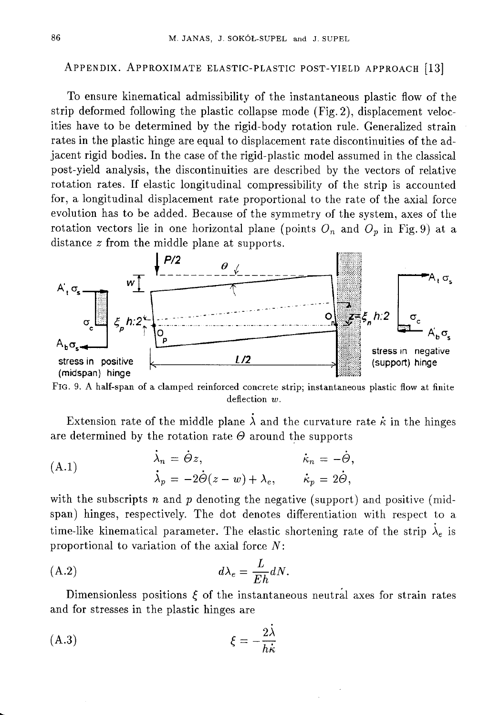## APPENDIX. APPROXIMATE ELASTIC-PLASTIC POST-YIELD APPROACH [13]

To ensure kinematical admissibility of the instantaneous plastic flow of the strip deformed following the plastic collapse mode (Fig. 2), displacement velocities have to be determined by the rigid-body rotation rule. Generalized strain rates in the plastic hinge are equal to displacement rate discontinuities of the adjacent rigid bodies. In the case of the rigid-plastic model assumed in the classical post-yield analysis, the discontinuities are described by the vectors of relative rotation rates. If elastic longitudinal compressibility of the strip is accounted for, a longitudinal displacement rate proportional to the rate of the axial force evolution has to be added. Because of the symmetry of the system, axes of the rotation vectors lie in one horizontal plane (points  $O_n$  and  $O_p$  in Fig. 9) at a distance  $z$  from the middle plane at supports.



FIG. 9. A half-span of a clamped reinforced concrete strip; instantaneous plastic flow at finite deflection  $w$ .

Extension rate of the middle plane  $\lambda$  and the curvature rate  $\kappa$  in the hinges are determined by the rotation rate  $\Theta$  around the supports

(A.1) 
$$
\begin{aligned}\n\dot{\lambda}_n &= \dot{\Theta} z, & \dot{\kappa}_n &= -\dot{\Theta}, \\
\dot{\lambda}_p &= -2\dot{\Theta}(z-w) + \lambda_e, & \dot{\kappa}_p &= 2\dot{\Theta},\n\end{aligned}
$$

with the subscripts  $n$  and  $p$  denoting the negative (support) and positive (midspan) hinges, respectively. The dot denotes differentiation with respect to a time-like kinematical parameter. The elastic shortening rate of the strip  $\lambda_e$  is proportional to variation of the axial force  $N$ :

$$
(A.2) \t\t d\lambda_e = \frac{L}{Eh} dN.
$$

Dimensionless positions  $\xi$  of the instantaneous neutral axes for strain rates and for stresses in the plastic hinges are

$$
\xi = -\frac{2\lambda}{h\dot{\kappa}}
$$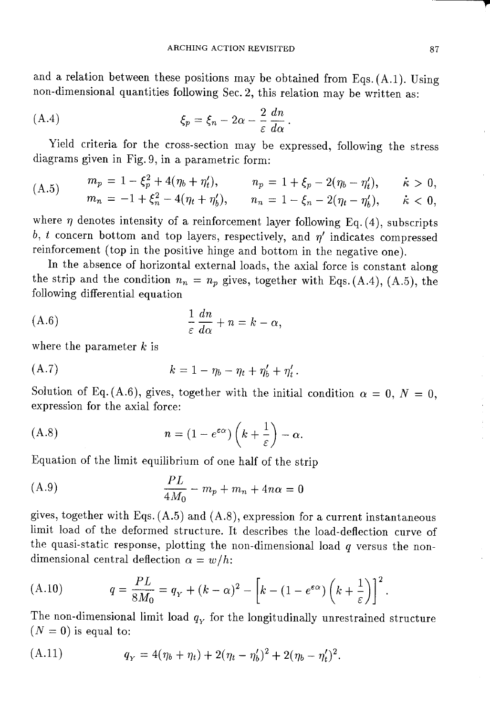and a relation between these positions may be obtained from Eqs.  $(A.1)$ . Using non-dimensional quantities following Sec. 2, this relation may be written as:

(A.4) 
$$
\xi_p = \xi_n - 2\alpha - \frac{2}{\varepsilon} \frac{dn}{d\alpha}
$$

Yield criteria for the cross-section may be expressed, following the stress diagrams given in Fig. 9, in a parametric form:

$$
\begin{array}{lll} (A.5) & m_p = 1 - \xi_p^2 + 4(\eta_b + \eta_t'), & n_p = 1 + \xi_p - 2(\eta_b - \eta_t'), & \dot{\kappa} > 0, \\ & m_n = -1 + \xi_n^2 - 4(\eta_t + \eta_b'), & n_n = 1 - \xi_n - 2(\eta_t - \eta_b'), & \dot{\kappa} < 0, \end{array}
$$

where  $\eta$  denotes intensity of a reinforcement layer following Eq. (4), subscripts b, t concern bottom and top layers, respectively, and  $\eta'$  indicates compressed reinforcement (top in the positive hinge and bottom in the negative one).

In the absence of horizontal external loads, the axial force is constant along the strip and the condition  $n_n = n_p$  gives, together with Eqs. (A.4), (A.5), the following differential equation

$$
\frac{1}{\varepsilon}\frac{dn}{d\alpha}+n=k-\alpha,
$$

where the parameter  $k$  is

$$
(A.7) \t\t k = 1 - \eta_b - \eta_t + \eta'_b + \eta'_t.
$$

Solution of Eq. (A.6), gives, together with the initial condition  $\alpha = 0, N = 0$ , expression for the axial force:

$$
(A.8) \t n = (1 - e^{\varepsilon \alpha}) \left( k + \frac{1}{\varepsilon} \right) - \alpha
$$

Equation of the limit equilibrium of one half of the strip

(A.9) 
$$
\frac{PL}{4M_0} - m_p + m_n + 4n\alpha = 0
$$

gives, together with Eqs.  $(A.5)$  and  $(A.8)$ , expression for a current instantaneous limit load of the deformed structure. It describes the load-deflection curve of the quasi-static response, plotting the non-dimensional load  $q$  versus the nondimensional central deflection  $\alpha = w/h$ :

(A.10) 
$$
q = \frac{PL}{8M_0} = q_Y + (k - \alpha)^2 - \left[k - (1 - e^{\varepsilon \alpha})\left(k + \frac{1}{\varepsilon}\right)\right]^2.
$$

The non-dimensional limit load  $q_Y$  for the longitudinally unrestrained structure  $(N = 0)$  is equal to:

(A.11) 
$$
q_Y = 4(\eta_b + \eta_t) + 2(\eta_t - \eta'_b)^2 + 2(\eta_b - \eta'_t)^2.
$$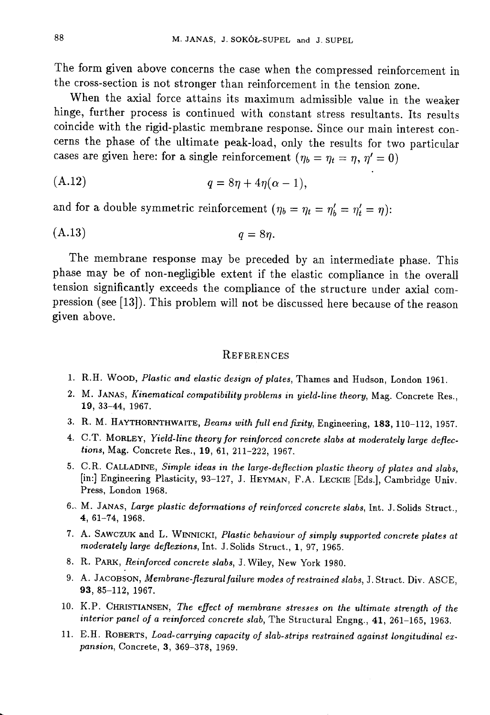The form given above concerns the case when the compressed reinforcement in the cross-section is not stronger than reinforcement in the tension zone.

When the axial force attains its maximum admissible value in the weaker hinge, further process is continued with constant stress resultants. Its results coincide with the rigid-plastic membrane response. Since our main interest concerns the phase of the ultimate peak-load, only the results for two particular cases are given here: for a single reinforcement  $(\eta_b = \eta_t = \eta, \eta' = 0)$ 

$$
(A.12) \t\t q = 8\eta + 4\eta(\alpha - 1),
$$

and for a double symmetric reinforcement  $(\eta_b = \eta_t = \eta'_b = \eta'_t = \eta)$ :

$$
(A.13) \t\t q = 8\eta
$$

The membrane response may be preceded by an intermediate phase. This phase may be of non-negligible extent if the elastic compliance in the overall tension significantly exceeds the compliance of the structure under axial compression (see [13]). This problem will not be discussed here because of the reason given above.

#### REFERENCES

- 1. R.H. WOOD, Plastic and elastic design of plates, Thames and Hudson, London 1961.
- 2. M. JANAS, Kinematical compatibility problems in yield-line theory, Mag. Concrete Res., 19, 33-44, 1967.
- 3. R. M. HAYTHORNTHWAITE, Beams with full end fixity, Engineering, 183, 110-112, 1957.
- 4. C.T. MORLEY, Yield-line theory for reinforced concrete slabs at moderately large deflections, Mag. Concrete Res., 19, 61, 211-222, 1967.
- 5. C.R. CALLADINE, Simple ideas in the large-deflection plastic theory of plates and slabs, [in:] Engineering Plasticity, 93-127, J. HEYMAN, F.A. LECKIE [Eds.], Cambridge Univ. Press, London 1968.
- 6. M. JANAS, Large plastic deformations of reinforced concrete slabs, Int. J. Solids Struct., 4, 61-74, 1968.
- 7. A. SAWCZUK and L. WINNICKI, Plastic behaviour of simply supported concrete plates at moderately large deflexions, Int. J. Solids Struct., 1, 97, 1965.
- 8. R. PARK, Reinforced concrete slabs, J. Wiley, New York 1980.
- 9. A. JACOBSON, Membrane-flexural failure modes of restrained slabs, J. Struct. Div. ASCE, 93, 85-112, 1967.
- 10. K.P. CHRISTIANSEN, The effect of membrane stresses on the ultimate strength of the interior panel of a reinforced concrete slab, The Structural Engng., 41, 261-165, 1963.
- 11. E.H. ROBERTS, Load-carrying capacity of slab-strips restrained against longitudinal expansion, Concrete, 3, 369-378, 1969.

 $\mathcal{L}$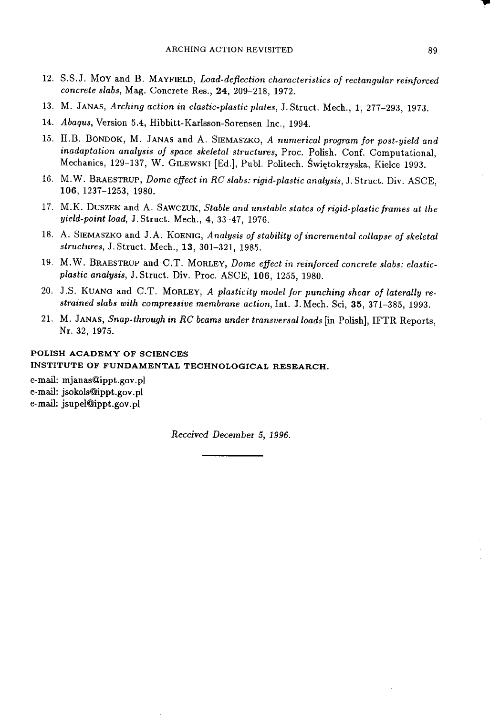- 12. S.S.J. MOY and B. MAYFIELD, Load-deflection characteristics of rectangular reinforced concrete slabs, Mag. Concrete Res., 24, 209-218, 1972.
- 13. M. JANAS, Arching action in elastic-plastic plates, J. Struct. Mech., 1, 277-293, 1973.
- 14. Abaqus, Version 5.4, Hibbitt-Karlsson-Sorensen Inc., 1994.
- 15. H.B. BONDOK, M. JANAS and A. SIEMASZKO, A numerical program for post-yield and inadaptation analysis of space skeletal structures, Proc. Polish. Conf. Computational, Mechanics, 129-137, W. GILEWSKI [Ed.], Publ. Politech. Świętokrzyska, Kielce 1993.
- 16. M.W. BRAESTRUP, Dome effect in RC slabs: rigid-plastic analysis, J. Struct. Div. ASCE, 106, 1237-1253, 1980.
- 17. M.K. DUSZEK and A. SAWCZUK, Stable and unstable states of rigid-plastic frames at the yield-point load, J. Struct. Mech., 4, 33-47, 1976.
- 18. A. SIEMASZKO and J.A. KOENIG, Analysis of stability of incremental collapse of skeletal structures, J. Struct. Mech., 13, 301-321, 1985.
- 19. M.W. BRAESTRUP and C.T. MORLEY, Dome effect in reinforced concrete slabs: elasticplastic analysis, J. Struct. Div. Proc. ASCE, 106, 1255, 1980.
- 20. J.S. KUANG and C.T. MORLEY, A plasticity model for punching shear of laterally restrained slabs with compressive membrane action, Int. J. Mech. Sci, 35, 371-385, 1993.
- 21. M. JANAS, Snap-through in RC beams under transversal loads [in Polish], IFTR Reports, Nr. 32, 1975.

#### POLISH ACADEMY OF SCIENCES INSTITUTE OF FUNDAMENTAL TECHNOLOGICAL RESEARCH.

e-mail: mjanas@ippt.gov.pl e-mail: jsokols@ippt.gov.pl e-mail: jsupel@ippt.gov.pl

Received December 5, 1996.